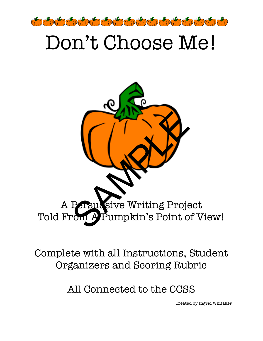

# Don't Choose Me!



# Complete with all Instructions, Student Organizers and Scoring Rubric

## All Connected to the CCSS

Created by Ingrid Whitaker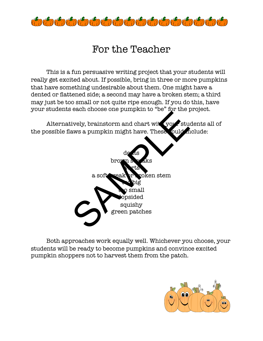

#### For the Teacher

This is a fun persuasive writing project that your students will really get excited about. If possible, bring in three or more pumpkins that have something undesirable about them. One might have a dented or flattened side; a second may have a broken stem; a third may just be too small or not quite ripe enough. If you do this, have your students each choose one pumpkin to "be" for the project.

Alternatively, brainstorm and chart with your students all of the possible flaws a pumpkin might have. These ould nolude:



Both approaches work equally well. Whichever you choose, your students will be ready to become pumpkins and convince excited pumpkin shoppers not to harvest them from the patch.

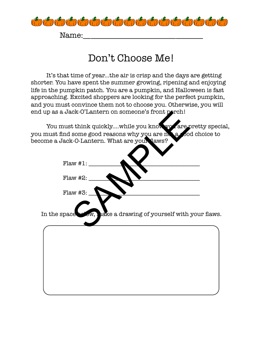

 $Name:$ 

### Don't Choose Me!

It's that time of year...the air is crisp and the days are getting shorter. You have spent the summer growing, ripening and enjoying life in the pumpkin patch. You are a pumpkin, and Halloween is fast approaching. Excited shoppers are looking for the perfect pumpkin, and you must convince them not to choose you. Otherwise, you will end up as a Jack-O'Lantern on someone's front porch!

You must think quickly....while you know you are pretty special, you must find some good reasons why you are not a good choice to become a Jack-O-Lantern. What are your flaws?

| . up as a Jack-O'Lantern on someone's front porch!                                                        |  |
|-----------------------------------------------------------------------------------------------------------|--|
| You must think quicklywhile you know you are pretty speci                                                 |  |
| must find some good reasons why you are not a sood choice to<br>ome a Jack-O-Lantern. What are your Jaws? |  |
|                                                                                                           |  |
| Flaw $#1$ :                                                                                               |  |
| Flaw $#2$ :                                                                                               |  |
| Flaw #3:                                                                                                  |  |
| <b>Jow, hake a drawing of yourself with your flaws.</b><br>In the space                                   |  |
|                                                                                                           |  |
|                                                                                                           |  |
|                                                                                                           |  |
|                                                                                                           |  |
|                                                                                                           |  |
|                                                                                                           |  |